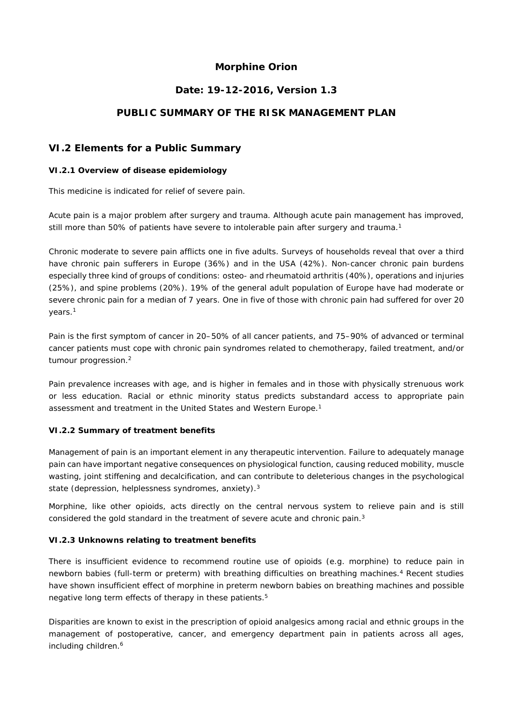## **Morphine Orion**

## **Date: 19-12-2016, Version 1.3**

# **PUBLIC SUMMARY OF THE RISK MANAGEMENT PLAN**

## **VI.2 Elements for a Public Summary**

#### *VI.2.1 Overview of disease epidemiology*

This medicine is indicated for relief of severe pain.

Acute pain is a major problem after surgery and trauma. Although acute pain management has improved, still more than 50% of patients have severe to intolerable pain after surgery and trauma.<sup>1</sup>

Chronic moderate to severe pain afflicts one in five adults. Surveys of households reveal that over a third have chronic pain sufferers in Europe (36%) and in the USA (42%). Non-cancer chronic pain burdens especially three kind of groups of conditions: osteo- and rheumatoid arthritis (40%), operations and injuries (25%), and spine problems (20%). 19% of the general adult population of Europe have had moderate or severe chronic pain for a median of 7 years. One in five of those with chronic pain had suffered for over 20 years.1

Pain is the first symptom of cancer in 20–50% of all cancer patients, and 75–90% of advanced or terminal cancer patients must cope with chronic pain syndromes related to chemotherapy, failed treatment, and/or tumour progression.2

Pain prevalence increases with age, and is higher in females and in those with physically strenuous work or less education. Racial or ethnic minority status predicts substandard access to appropriate pain assessment and treatment in the United States and Western Europe.1

### *VI.2.2 Summary of treatment benefits*

Management of pain is an important element in any therapeutic intervention. Failure to adequately manage pain can have important negative consequences on physiological function, causing reduced mobility, muscle wasting, joint stiffening and decalcification, and can contribute to deleterious changes in the psychological state (depression, helplessness syndromes, anxiety).<sup>3</sup>

Morphine, like other opioids, acts directly on the central nervous system to relieve pain and is still considered the gold standard in the treatment of severe acute and chronic pain.<sup>3</sup>

### *VI.2.3 Unknowns relating to treatment benefits*

There is insufficient evidence to recommend routine use of opioids (e.g. morphine) to reduce pain in newborn babies (full-term or preterm) with breathing difficulties on breathing machines.4 Recent studies have shown insufficient effect of morphine in preterm newborn babies on breathing machines and possible negative long term effects of therapy in these patients.<sup>5</sup>

Disparities are known to exist in the prescription of opioid analgesics among racial and ethnic groups in the management of postoperative, cancer, and emergency department pain in patients across all ages, including children.<sup>6</sup>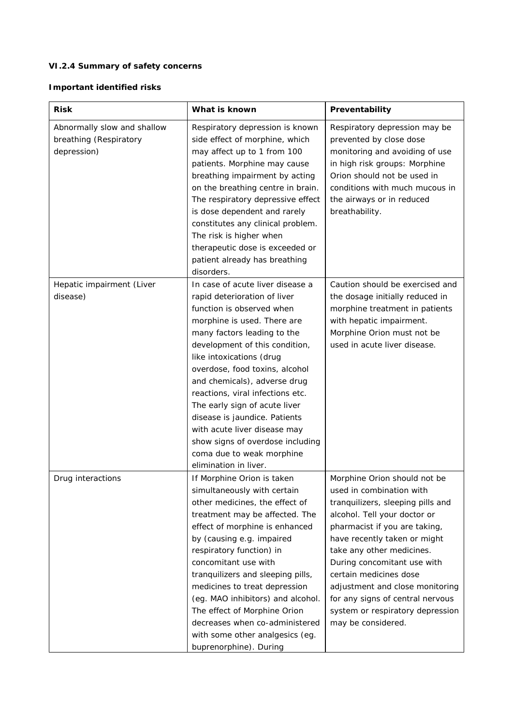# *VI.2.4 Summary of safety concerns*

# **Important identified risks**

| <b>Risk</b>                                                          | What is known                                                                                                                                                                                                                                                                                                                                                                                                                                                                                                               | Preventability                                                                                                                                                                                                                                                                                                                                                                                                        |
|----------------------------------------------------------------------|-----------------------------------------------------------------------------------------------------------------------------------------------------------------------------------------------------------------------------------------------------------------------------------------------------------------------------------------------------------------------------------------------------------------------------------------------------------------------------------------------------------------------------|-----------------------------------------------------------------------------------------------------------------------------------------------------------------------------------------------------------------------------------------------------------------------------------------------------------------------------------------------------------------------------------------------------------------------|
| Abnormally slow and shallow<br>breathing (Respiratory<br>depression) | Respiratory depression is known<br>side effect of morphine, which<br>may affect up to 1 from 100<br>patients. Morphine may cause<br>breathing impairment by acting<br>on the breathing centre in brain.<br>The respiratory depressive effect<br>is dose dependent and rarely<br>constitutes any clinical problem.<br>The risk is higher when<br>therapeutic dose is exceeded or<br>patient already has breathing<br>disorders.                                                                                              | Respiratory depression may be<br>prevented by close dose<br>monitoring and avoiding of use<br>in high risk groups: Morphine<br>Orion should not be used in<br>conditions with much mucous in<br>the airways or in reduced<br>breathability.                                                                                                                                                                           |
| Hepatic impairment (Liver<br>disease)                                | In case of acute liver disease a<br>rapid deterioration of liver<br>function is observed when<br>morphine is used. There are<br>many factors leading to the<br>development of this condition,<br>like intoxications (drug<br>overdose, food toxins, alcohol<br>and chemicals), adverse drug<br>reactions, viral infections etc.<br>The early sign of acute liver<br>disease is jaundice. Patients<br>with acute liver disease may<br>show signs of overdose including<br>coma due to weak morphine<br>elimination in liver. | Caution should be exercised and<br>the dosage initially reduced in<br>morphine treatment in patients<br>with hepatic impairment.<br>Morphine Orion must not be<br>used in acute liver disease.                                                                                                                                                                                                                        |
| Drug interactions                                                    | If Morphine Orion is taken<br>simultaneously with certain<br>other medicines, the effect of<br>treatment may be affected. The<br>effect of morphine is enhanced<br>by (causing e.g. impaired<br>respiratory function) in<br>concomitant use with<br>tranquilizers and sleeping pills,<br>medicines to treat depression<br>(eg. MAO inhibitors) and alcohol.<br>The effect of Morphine Orion<br>decreases when co-administered<br>with some other analgesics (eg.<br>buprenorphine). During                                  | Morphine Orion should not be<br>used in combination with<br>tranquilizers, sleeping pills and<br>alcohol. Tell your doctor or<br>pharmacist if you are taking,<br>have recently taken or might<br>take any other medicines.<br>During concomitant use with<br>certain medicines dose<br>adjustment and close monitoring<br>for any signs of central nervous<br>system or respiratory depression<br>may be considered. |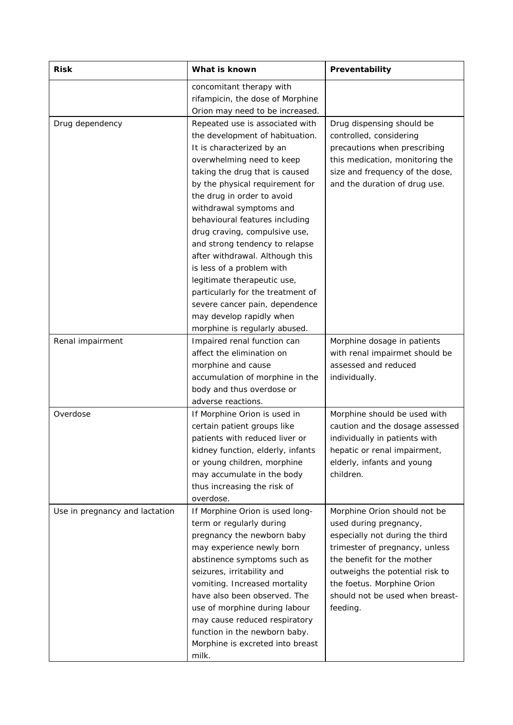| <b>Risk</b>                    | What is known                                                                                                                                                                                                                                                                                                                                                                                                                                                                                                                                                                                      | Preventability                                                                                                                                                                                                                                                            |
|--------------------------------|----------------------------------------------------------------------------------------------------------------------------------------------------------------------------------------------------------------------------------------------------------------------------------------------------------------------------------------------------------------------------------------------------------------------------------------------------------------------------------------------------------------------------------------------------------------------------------------------------|---------------------------------------------------------------------------------------------------------------------------------------------------------------------------------------------------------------------------------------------------------------------------|
|                                | concomitant therapy with<br>rifampicin, the dose of Morphine<br>Orion may need to be increased.                                                                                                                                                                                                                                                                                                                                                                                                                                                                                                    |                                                                                                                                                                                                                                                                           |
| Drug dependency                | Repeated use is associated with<br>the development of habituation.<br>It is characterized by an<br>overwhelming need to keep<br>taking the drug that is caused<br>by the physical requirement for<br>the drug in order to avoid<br>withdrawal symptoms and<br>behavioural features including<br>drug craving, compulsive use,<br>and strong tendency to relapse<br>after withdrawal. Although this<br>is less of a problem with<br>legitimate therapeutic use,<br>particularly for the treatment of<br>severe cancer pain, dependence<br>may develop rapidly when<br>morphine is regularly abused. | Drug dispensing should be<br>controlled, considering<br>precautions when prescribing<br>this medication, monitoring the<br>size and frequency of the dose,<br>and the duration of drug use.                                                                               |
| Renal impairment               | Impaired renal function can<br>affect the elimination on<br>morphine and cause<br>accumulation of morphine in the<br>body and thus overdose or<br>adverse reactions.                                                                                                                                                                                                                                                                                                                                                                                                                               | Morphine dosage in patients<br>with renal impairmet should be<br>assessed and reduced<br>individually.                                                                                                                                                                    |
| Overdose                       | If Morphine Orion is used in<br>certain patient groups like<br>patients with reduced liver or<br>kidney function, elderly, infants<br>or young children, morphine<br>may accumulate in the body<br>thus increasing the risk of<br>overdose.                                                                                                                                                                                                                                                                                                                                                        | Morphine should be used with<br>caution and the dosage assessed<br>individually in patients with<br>hepatic or renal impairment,<br>elderly, infants and young<br>children.                                                                                               |
| Use in pregnancy and lactation | If Morphine Orion is used long-<br>term or regularly during<br>pregnancy the newborn baby<br>may experience newly born<br>abstinence symptoms such as<br>seizures, irritability and<br>vomiting. Increased mortality<br>have also been observed. The<br>use of morphine during labour<br>may cause reduced respiratory<br>function in the newborn baby.<br>Morphine is excreted into breast<br>milk.                                                                                                                                                                                               | Morphine Orion should not be<br>used during pregnancy,<br>especially not during the third<br>trimester of pregnancy, unless<br>the benefit for the mother<br>outweighs the potential risk to<br>the foetus. Morphine Orion<br>should not be used when breast-<br>feeding. |